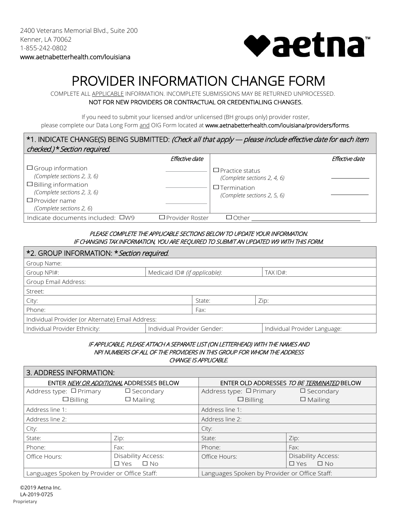

# PROVIDER INFORMATION CHANGE FORM COMPLETE ALL APPLICABLE INFORMATION. INCOMPLETE SUBMISSIONS MAY BE RETURNED UNPROCESSED.

NOT FOR NEW PROVIDERS OR CONTRACTUAL OR CREDENTIALING CHANGES.

If you need to submit your licensed and/or unlicensed (BH groups only) provider roster,

please complete our Data Long Form and OIG Form located at www.aetnabetterhealth.com/louisiana/providers/forms.

#### ☐ Group information ☐ Billing information ☐ Provider name \*1. INDICATE CHANGE(S) BEING SUBMITTED: (Check all that apply — please include effective date for each item checked.) \*Section required. Effective date *(Complete sections 2, 3, 6)* ☐ Practice status *(Complete sections 2, 3, 6) (Complete sections 2, 6*) Effective date *(Complete sections 2, 4, 6)* ☐Termination *(Complete sections 2, 5, 6)* Indicate documents included: ☐W9 ☐Provider Roster ☐Other

### PLEASE COMPLETE THE APPLICABLE SECTIONS BELOW TO UPDATE YOUR INFORMATION. IF CHANGING TAX INFORMATION, YOU ARE REQUIRED TO SUBMIT AN UPDATED W9 WITH THIS FORM.

| *2. GROUP INFORMATION: * Section required.        |                               |        |  |                               |  |
|---------------------------------------------------|-------------------------------|--------|--|-------------------------------|--|
| Group Name:                                       |                               |        |  |                               |  |
| Group NPI#:                                       | Medicaid ID# (if applicable): |        |  | TAX ID#:                      |  |
| Group Email Address:                              |                               |        |  |                               |  |
| Street:                                           |                               |        |  |                               |  |
| City:                                             |                               | State: |  | Zip:                          |  |
| Phone:                                            |                               | Fax:   |  |                               |  |
| Individual Provider (or Alternate) Email Address: |                               |        |  |                               |  |
| Individual Provider Ethnicity:                    | Individual Provider Gender:   |        |  | Individual Provider Language: |  |

#### IF APPLICABLE, PLEASE ATTACH A SEPARATE LIST (ON LETTERHEAD) WITH THE NAMES AND NPI NUMBERS OF ALL OF THE PROVIDERS IN THIS GROUP FOR WHOM THE ADDRESS CHANGE IS APPLICABLE.

| 3. ADDRESS INFORMATION:                       |                            |                                               |                            |  |
|-----------------------------------------------|----------------------------|-----------------------------------------------|----------------------------|--|
| ENTER NEW OR ADDITIONAL ADDRESSES BELOW       |                            | ENTER OLD ADDRESSES TO BE TERMINATED BELOW    |                            |  |
| Address type: $\Box$ Primary                  | $\square$ Secondary        | Address type: □ Primary                       | $\square$ Secondary        |  |
| $\Box$ Billing                                | $\Box$ Mailing             | $\Box$ Billing                                | $\Box$ Mailing             |  |
| Address line 1:                               |                            | Address line 1:                               |                            |  |
| Address line 2:                               |                            | Address line 2:                               |                            |  |
| City:                                         |                            | City:                                         |                            |  |
| State:                                        | Zip:                       | State:                                        | Zip:                       |  |
| Phone:                                        | Fax:                       | Phone:                                        | Fax:                       |  |
| Office Hours:                                 | Disability Access:         | Office Hours:                                 | Disability Access:         |  |
|                                               | $\Box$ No<br>$\square$ Yes |                                               | $\square$ Yes<br>$\Box$ No |  |
| Languages Spoken by Provider or Office Staff: |                            | Languages Spoken by Provider or Office Staff: |                            |  |